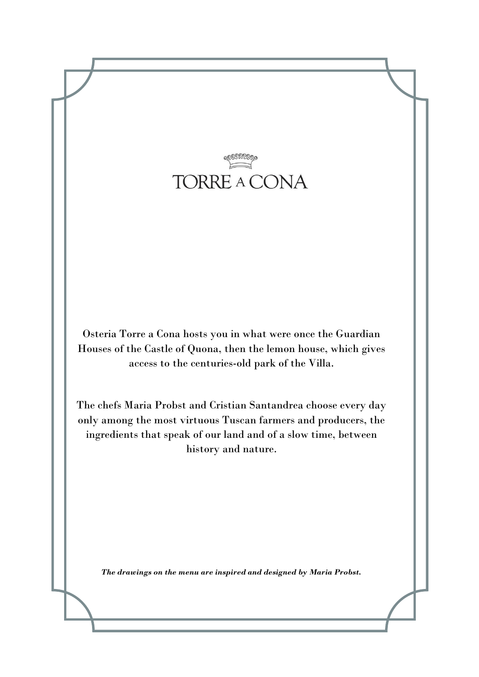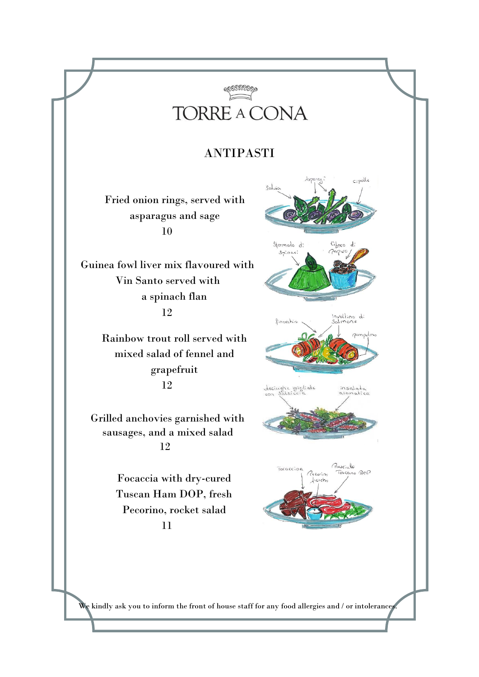

## ANTIPASTI

Fried onion rings, served with asparagus and sage 10

Guinea fowl liver mix flavoured with Vin Santo served with a spinach flan 12

> Rainbow trout roll served with mixed salad of fennel and grapefruit 12

Grilled anchovies garnished with sausages, and a mixed salad 12

> Focaccia with dry-cured Tuscan Ham DOP, fresh Pecorino, rocket salad 11



We kindly ask you to inform the front of house staff for any food allergies and / or intolerances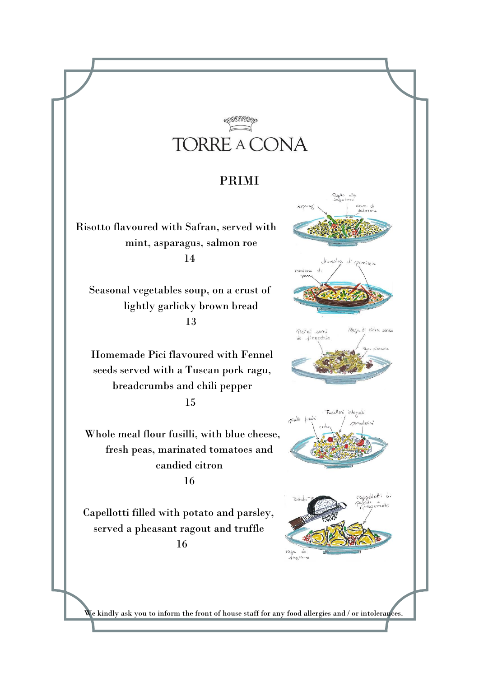## TORRE A CONA

## PRIMI

Risotto flavoured with Safran, served with mint, asparagus, salmon roe 14

Seasonal vegetables soup, on a crust of lightly garlicky brown bread 13

Homemade Pici flavoured with Fennel seeds served with a Tuscan pork ragu, breadcrumbs and chili pepper 15

Whole meal flour fusilli, with blue cheese, fresh peas, marinated tomatoes and candied citron 16

Capellotti filled with potato and parsley, served a pheasant ragout and truffle 16









We kindly ask you to inform the front of house staff for any food allergies and / or intolerances.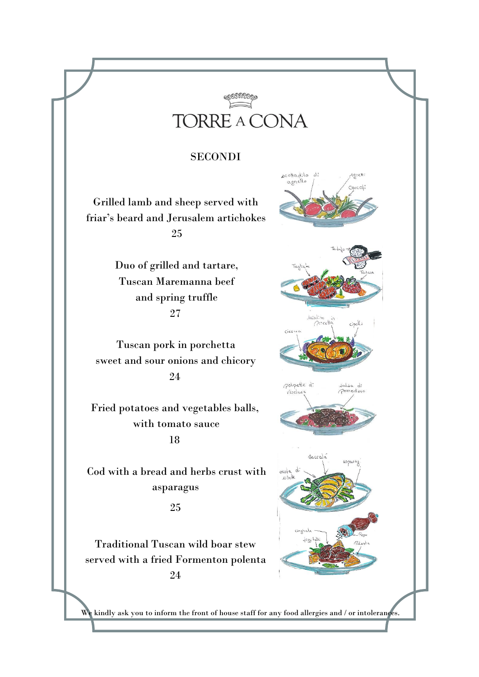

Acoffadito di<br>agnello /

Cicorea

polpette di

Barrala

Vesclus

cresta di

Agretti Corcali

salsa di<br>Pomodoro

## SECONDI

Grilled lamb and sheep served with friar's beard and Jerusalem artichokes 25

> Duo of grilled and tartare, Tuscan Maremanna beef and spring truffle 27

Tuscan pork in porchetta sweet and sour onions and chicory 24

Fried potatoes and vegetables balls, with tomato sauce 18

Cod with a bread and herbs crust with asparagus

25

Traditional Tuscan wild boar stew served with a fried Formenton polenta 24

We kindly ask you to inform the front of house staff for any food allergies and / or intolerances.